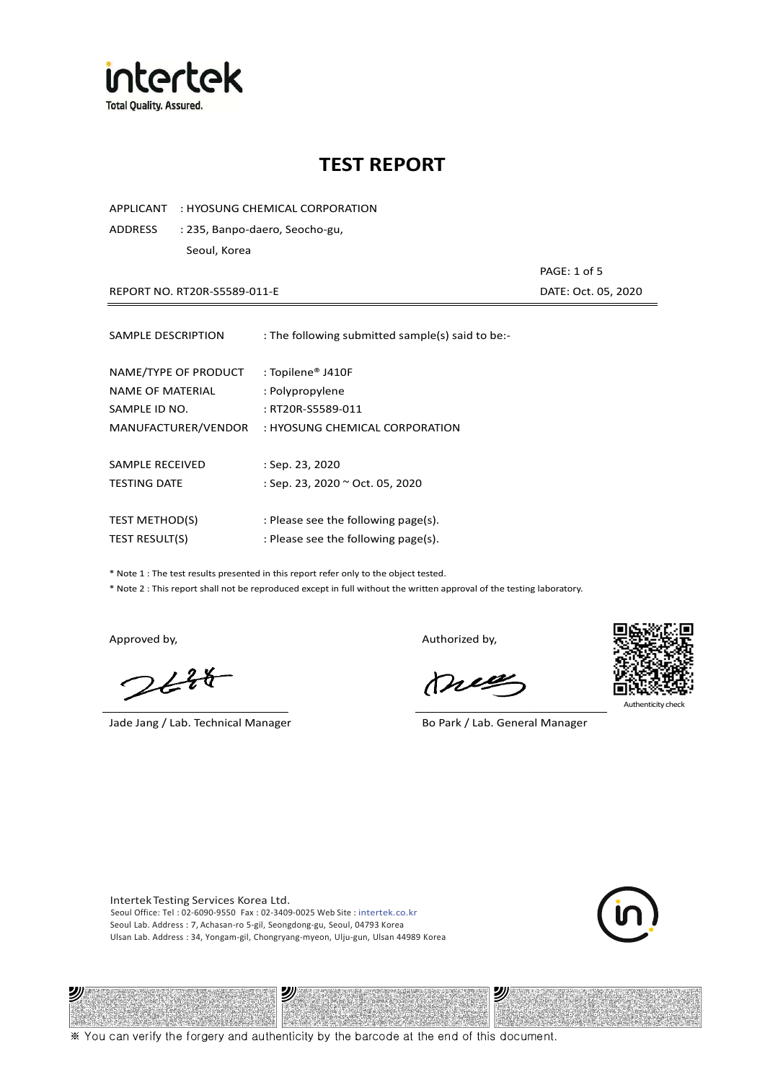

APPLICANT : HYOSUNG CHEMICAL CORPORATION

ADDRESS : 235, Banpo-daero, Seocho-gu, Seoul, Korea

REPORT NO. RT20R-S5589-011-E DATE: Oct. 05, 2020

PAGE: 1 of 5

| SAMPLE DESCRIPTION    | : The following submitted sample(s) said to be:- |
|-----------------------|--------------------------------------------------|
| NAME/TYPE OF PRODUCT  | : Topilene® J410F                                |
| NAME OF MATERIAL      | : Polypropylene                                  |
| SAMPLE ID NO.         | : RT20R-S5589-011                                |
| MANUFACTURER/VENDOR   | : HYOSUNG CHEMICAL CORPORATION                   |
| SAMPLE RECEIVED       | $:$ Sep. 23, 2020                                |
| <b>TESTING DATE</b>   | : Sep. 23, 2020 ~ Oct. 05, 2020                  |
| <b>TEST METHOD(S)</b> | : Please see the following page(s).              |
| <b>TEST RESULT(S)</b> | : Please see the following page(s).              |

\* Note 1 : The test results presented in this report refer only to the object tested.

\* Note 2 : This report shall not be reproduced except in full without the written approval of the testing laboratory.

沙

 $2648$ 

Jade Jang / Lab. Technical Manager Bo Park / Lab. General Manager

Approved by, and the control of the control of the Authorized by,

Mie



Authenticity cl

沙

Intertek Testing Services Korea Ltd. Seoul Office: Tel : 02-6090-9550 Fax : 02-3409-0025 Web Site : intertek.co.kr Seoul Lab. Address : 7, Achasan-ro 5-gil, Seongdong-gu, Seoul, 04793 Korea Ulsan Lab. Address : 34, Yongam-gil, Chongryang-myeon, Ulju-gun, Ulsan 44989 Korea

沙



※ You can verify the forgery and authenticity by the barcode at the end of this document.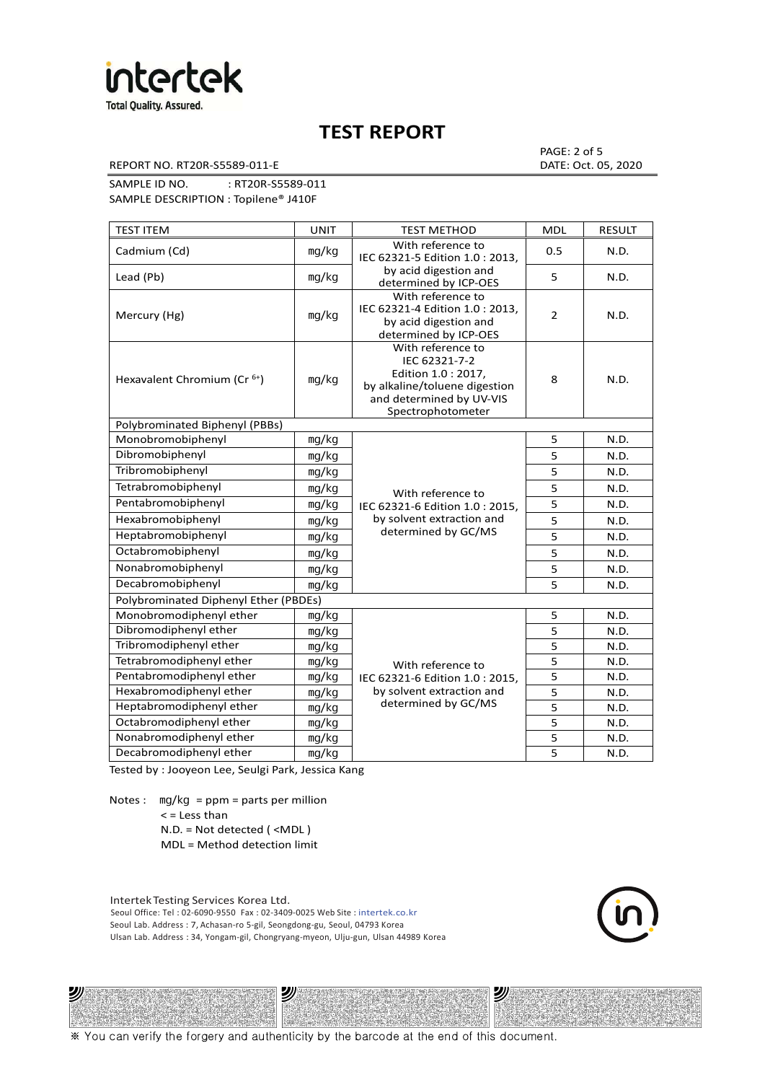

REPORT NO. RT20R-S5589-011-E DATE: Oct. 05, 2020

PAGE: 2 of 5

SAMPLE ID NO. : RT20R-S5589-011 SAMPLE DESCRIPTION : Topilene® J410F

| <b>TEST ITEM</b>                        | <b>UNIT</b> | <b>TEST METHOD</b>                                                                                                                          | <b>MDL</b>              | <b>RESULT</b> |
|-----------------------------------------|-------------|---------------------------------------------------------------------------------------------------------------------------------------------|-------------------------|---------------|
| Cadmium (Cd)                            | mg/kg       | With reference to<br>IEC 62321-5 Edition 1.0: 2013.                                                                                         | 0.5                     | N.D.          |
| Lead (Pb)                               | mg/kg       | by acid digestion and<br>determined by ICP-OES                                                                                              | 5                       | N.D.          |
| Mercury (Hg)                            | mg/kg       | With reference to<br>IEC 62321-4 Edition 1.0 : 2013,<br>by acid digestion and<br>determined by ICP-OES                                      | $\overline{2}$          | N.D.          |
| Hexavalent Chromium (Cr <sup>6+</sup> ) | mg/kg       | With reference to<br>IEC 62321-7-2<br>Edition 1.0 : 2017,<br>by alkaline/toluene digestion<br>and determined by UV-VIS<br>Spectrophotometer | 8                       | N.D.          |
| Polybrominated Biphenyl (PBBs)          |             |                                                                                                                                             |                         |               |
| Monobromobiphenyl                       | mg/kg       |                                                                                                                                             | 5                       | N.D.          |
| Dibromobiphenyl                         | mg/kg       |                                                                                                                                             | 5                       | N.D.          |
| Tribromobiphenyl                        | mg/kg       |                                                                                                                                             | 5                       | N.D.          |
| Tetrabromobiphenyl                      | mg/kg       | With reference to                                                                                                                           | $\overline{\mathbf{5}}$ | N.D.          |
| Pentabromobiphenyl                      | mg/kg       | IEC 62321-6 Edition 1.0 : 2015,                                                                                                             | 5                       | N.D.          |
| Hexabromobiphenyl                       | mg/kg       | by solvent extraction and                                                                                                                   | 5                       | N.D.          |
| Heptabromobiphenyl                      | mg/kg       | determined by GC/MS                                                                                                                         | 5                       | N.D.          |
| Octabromobiphenyl                       | mq/kg       |                                                                                                                                             | 5                       | N.D.          |
| Nonabromobiphenyl                       | mg/kg       |                                                                                                                                             | 5                       | N.D.          |
| Decabromobiphenyl                       | mg/kg       |                                                                                                                                             | 5                       | N.D.          |
| Polybrominated Diphenyl Ether (PBDEs)   |             |                                                                                                                                             |                         |               |
| Monobromodiphenyl ether                 | mg/kg       |                                                                                                                                             | 5                       | N.D.          |
| Dibromodiphenyl ether                   | mg/kg       |                                                                                                                                             | 5                       | N.D.          |
| Tribromodiphenyl ether                  | mg/kg       |                                                                                                                                             | 5                       | N.D.          |
| Tetrabromodiphenyl ether                | mg/kg       | With reference to                                                                                                                           | 5                       | N.D.          |
| Pentabromodiphenyl ether                | mg/kg       | IEC 62321-6 Edition 1.0 : 2015,                                                                                                             | 5                       | N.D.          |
| Hexabromodiphenyl ether                 | mg/kg       | by solvent extraction and                                                                                                                   | 5                       | N.D.          |
| Heptabromodiphenyl ether                | mg/kg       | determined by GC/MS                                                                                                                         | 5                       | N.D.          |
| Octabromodiphenyl ether                 | mg/kg       |                                                                                                                                             | 5                       | N.D.          |
| Nonabromodiphenyl ether                 | mg/kg       |                                                                                                                                             | 5                       | N.D.          |
| Decabromodiphenyl ether                 | mg/kg       |                                                                                                                                             | 5                       | N.D.          |

Tested by : Jooyeon Lee, Seulgi Park, Jessica Kang

Notes : mg/kg = ppm = parts per million  $<$  = Less than

沙

N.D. = Not detected ( <MDL )

MDL = Method detection limit

Intertek Testing Services Korea Ltd. Seoul Office: Tel : 02-6090-9550 Fax : 02-3409-0025 Web Site : intertek.co.kr Seoul Lab. Address : 7, Achasan-ro 5-gil, Seongdong-gu, Seoul, 04793 Korea Ulsan Lab. Address : 34, Yongam-gil, Chongryang-myeon, Ulju-gun, Ulsan 44989 Korea

沙

沙

※ You can verify the forgery and authenticity by the barcode at the end of this document.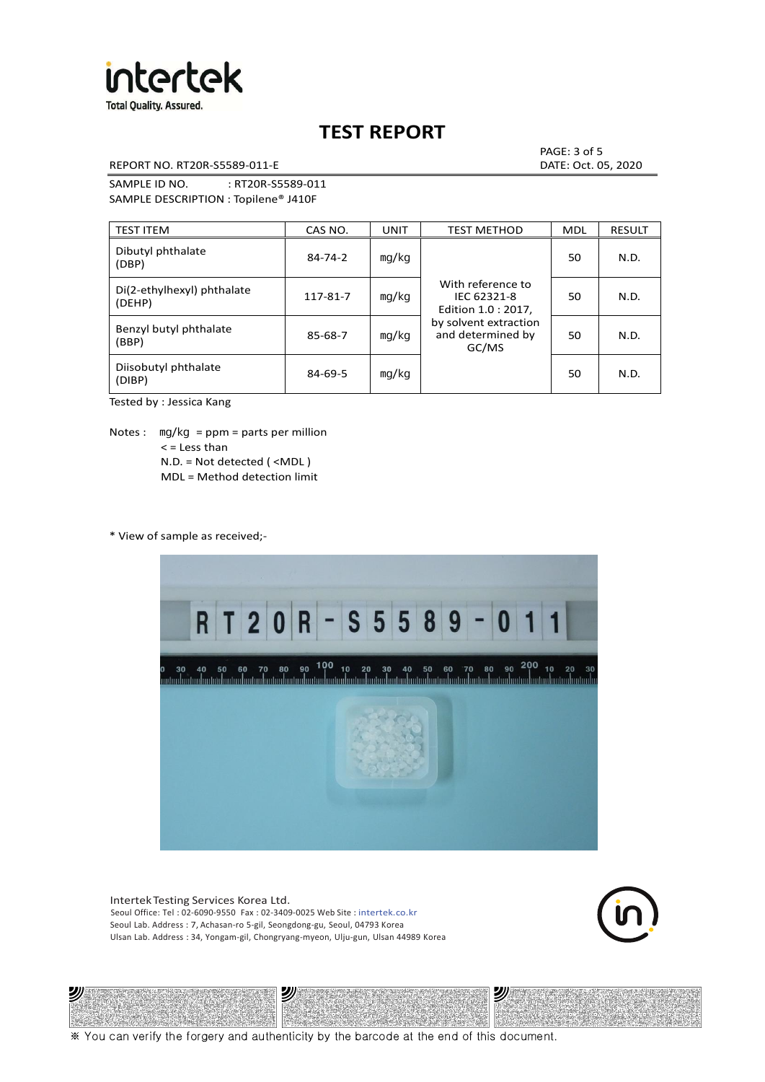

REPORT NO. RT20R-S5589-011-E DATE: Oct. 05, 2020

PAGE: 3 of 5

SAMPLE ID NO. : RT20R-S5589-011 SAMPLE DESCRIPTION : Topilene® J410F

| <b>TEST ITEM</b>                     | CAS NO.       | <b>UNIT</b> | <b>TEST METHOD</b>                                      | <b>MDL</b> | <b>RESULT</b> |
|--------------------------------------|---------------|-------------|---------------------------------------------------------|------------|---------------|
| Dibutyl phthalate<br>(DBP)           | $84 - 74 - 2$ | mg/kg       | With reference to<br>IEC 62321-8<br>Edition 1.0 : 2017, | 50         | N.D.          |
| Di(2-ethylhexyl) phthalate<br>(DEHP) | 117-81-7      | mg/kg       |                                                         | 50         | N.D.          |
| Benzyl butyl phthalate<br>(BBP)      | 85-68-7       | mg/kg       | by solvent extraction<br>and determined by<br>GC/MS     | 50         | N.D.          |
| Diisobutyl phthalate<br>(DIBP)       | $84 - 69 - 5$ | mg/kg       |                                                         | 50         | N.D.          |

Tested by : Jessica Kang

Notes :  $mq/kg = ppm = parts per million$  $<$  = Less than N.D. = Not detected ( <MDL ) MDL = Method detection limit

\* View of sample as received;-

沙



Intertek Testing Services Korea Ltd. Seoul Office: Tel : 02-6090-9550 Fax : 02-3409-0025 Web Site : intertek.co.kr Seoul Lab. Address : 7, Achasan-ro 5-gil, Seongdong-gu, Seoul, 04793 Korea Ulsan Lab. Address : 34, Yongam-gil, Chongryang-myeon, Ulju-gun, Ulsan 44989 Korea

沙



沙

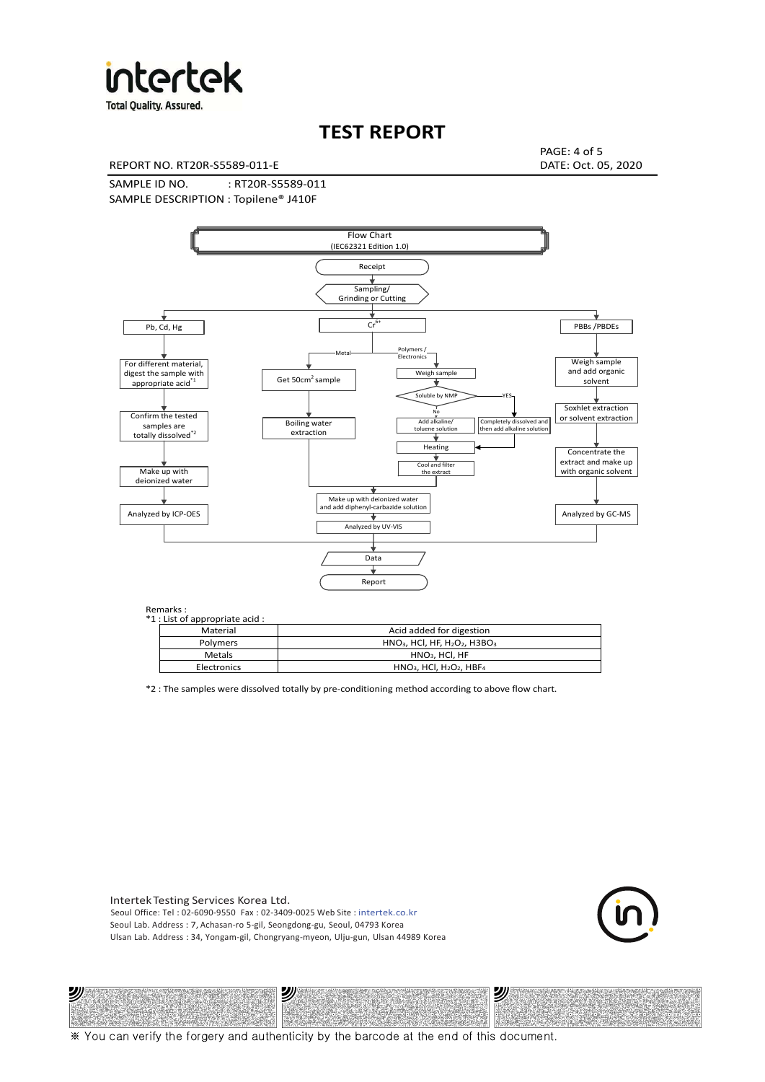

**Total Quality. Assured.** 

## **TEST REPORT**

REPORT NO. RT20R-S5589-011-E DATE: Oct. 05, 2020

PAGE: 4 of 5

SAMPLE ID NO. : RT20R-S5589-011 SAMPLE DESCRIPTION : Topilene® J410F



| *1 : List of appropriate acid : |                                                                     |
|---------------------------------|---------------------------------------------------------------------|
| Material                        | Acid added for digestion                                            |
| <b>Polymers</b>                 | $HNO3$ , HCl, HF, H <sub>2</sub> O <sub>2</sub> , H3BO <sub>3</sub> |
| <b>Metals</b>                   | $HNO3$ . HCl. HF                                                    |
| Electronics                     | $HNO3$ , HCl, H <sub>2</sub> O <sub>2</sub> , HBF <sub>4</sub>      |

\*2 : The samples were dissolved totally by pre-conditioning method according to above flow chart.

Intertek Testing Services Korea Ltd. Seoul Office: Tel : 02-6090-9550 Fax : 02-3409-0025 Web Site : intertek.co.kr Seoul Lab. Address : 7, Achasan-ro 5-gil, Seongdong-gu, Seoul, 04793 Korea Ulsan Lab. Address : 34, Yongam-gil, Chongryang-myeon, Ulju-gun, Ulsan 44989 Korea

沙

沙



沙